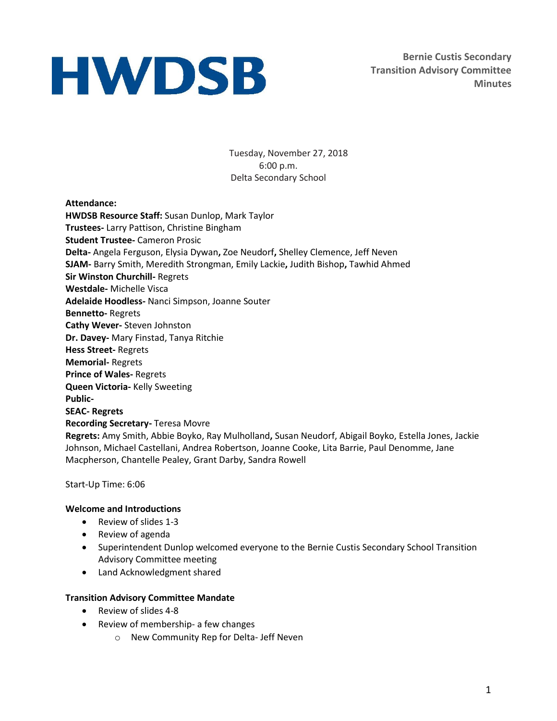**Bernie Custis Secondary Transition Advisory Committee Minutes**

Tuesday, November 27, 2018 6:00 p.m. Delta Secondary School

### **Attendance:**

**HWDSB Resource Staff:** Susan Dunlop, Mark Taylor **Trustees-** Larry Pattison, Christine Bingham **Student Trustee-** Cameron Prosic **Delta-** Angela Ferguson, Elysia Dywan**,** Zoe Neudorf**,** Shelley Clemence, Jeff Neven **SJAM-** Barry Smith, Meredith Strongman, Emily Lackie**,** Judith Bishop**,** Tawhid Ahmed **Sir Winston Churchill-** Regrets **Westdale-** Michelle Visca **Adelaide Hoodless-** Nanci Simpson, Joanne Souter **Bennetto-** Regrets **Cathy Wever-** Steven Johnston **Dr. Davey-** Mary Finstad, Tanya Ritchie **Hess Street-** Regrets **Memorial-** Regrets **Prince of Wales-** Regrets **Queen Victoria-** Kelly Sweeting **Public-SEAC- Regrets Recording Secretary-** Teresa Movre **Regrets:** Amy Smith, Abbie Boyko, Ray Mulholland**,** Susan Neudorf, Abigail Boyko, Estella Jones, Jackie Johnson, Michael Castellani, Andrea Robertson, Joanne Cooke, Lita Barrie, Paul Denomme, Jane Macpherson, Chantelle Pealey, Grant Darby, Sandra Rowell

Start-Up Time: 6:06

### **Welcome and Introductions**

- Review of slides 1-3
- Review of agenda
- Superintendent Dunlop welcomed everyone to the Bernie Custis Secondary School Transition Advisory Committee meeting
- Land Acknowledgment shared

### **Transition Advisory Committee Mandate**

- Review of slides 4-8
- Review of membership- a few changes
	- o New Community Rep for Delta- Jeff Neven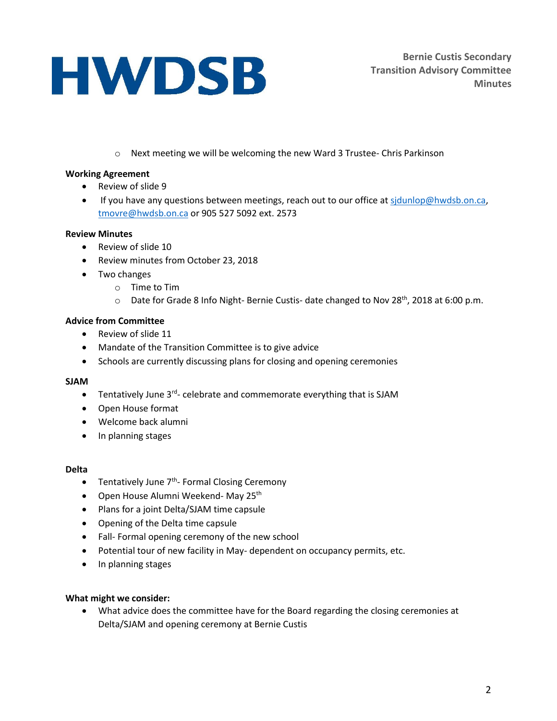o Next meeting we will be welcoming the new Ward 3 Trustee- Chris Parkinson

### **Working Agreement**

- Review of slide 9
- If you have any questions between meetings, reach out to our office at sidunlop@hwdsb.on.ca, [tmovre@hwdsb.on.ca](mailto:tmovre@hwdsb.on.ca) or 905 527 5092 ext. 2573

### **Review Minutes**

- Review of slide 10
- Review minutes from October 23, 2018
- Two changes
	- o Time to Tim
	- o Date for Grade 8 Info Night- Bernie Custis- date changed to Nov 28<sup>th</sup>, 2018 at 6:00 p.m.

## **Advice from Committee**

- Review of slide 11
- Mandate of the Transition Committee is to give advice
- Schools are currently discussing plans for closing and opening ceremonies

### **SJAM**

- Tentatively June 3<sup>rd</sup>- celebrate and commemorate everything that is SJAM
- Open House format
- Welcome back alumni
- In planning stages

### **Delta**

- Tentatively June 7<sup>th</sup>- Formal Closing Ceremony
- Open House Alumni Weekend- May 25<sup>th</sup>
- Plans for a joint Delta/SJAM time capsule
- Opening of the Delta time capsule
- Fall- Formal opening ceremony of the new school
- Potential tour of new facility in May- dependent on occupancy permits, etc.
- In planning stages

### **What might we consider:**

 What advice does the committee have for the Board regarding the closing ceremonies at Delta/SJAM and opening ceremony at Bernie Custis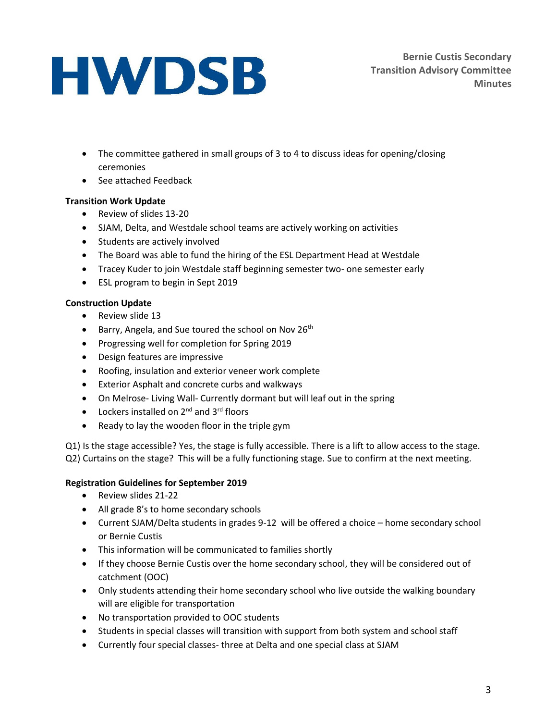- The committee gathered in small groups of 3 to 4 to discuss ideas for opening/closing ceremonies
- See attached Feedback

## **Transition Work Update**

- Review of slides 13-20
- SJAM, Delta, and Westdale school teams are actively working on activities
- Students are actively involved
- The Board was able to fund the hiring of the ESL Department Head at Westdale
- Tracey Kuder to join Westdale staff beginning semester two- one semester early
- ESL program to begin in Sept 2019

## **Construction Update**

- Review slide 13
- **Barry, Angela, and Sue toured the school on Nov 26th**
- Progressing well for completion for Spring 2019
- Design features are impressive
- Roofing, insulation and exterior veneer work complete
- Exterior Asphalt and concrete curbs and walkways
- On Melrose- Living Wall- Currently dormant but will leaf out in the spring
- $\bullet$  Lockers installed on 2<sup>nd</sup> and 3<sup>rd</sup> floors
- Ready to lay the wooden floor in the triple gym

Q1) Is the stage accessible? Yes, the stage is fully accessible. There is a lift to allow access to the stage. Q2) Curtains on the stage? This will be a fully functioning stage. Sue to confirm at the next meeting.

## **Registration Guidelines for September 2019**

- Review slides 21-22
- All grade 8's to home secondary schools
- Current SJAM/Delta students in grades 9-12 will be offered a choice home secondary school or Bernie Custis
- This information will be communicated to families shortly
- If they choose Bernie Custis over the home secondary school, they will be considered out of catchment (OOC)
- Only students attending their home secondary school who live outside the walking boundary will are eligible for transportation
- No transportation provided to OOC students
- Students in special classes will transition with support from both system and school staff
- Currently four special classes- three at Delta and one special class at SJAM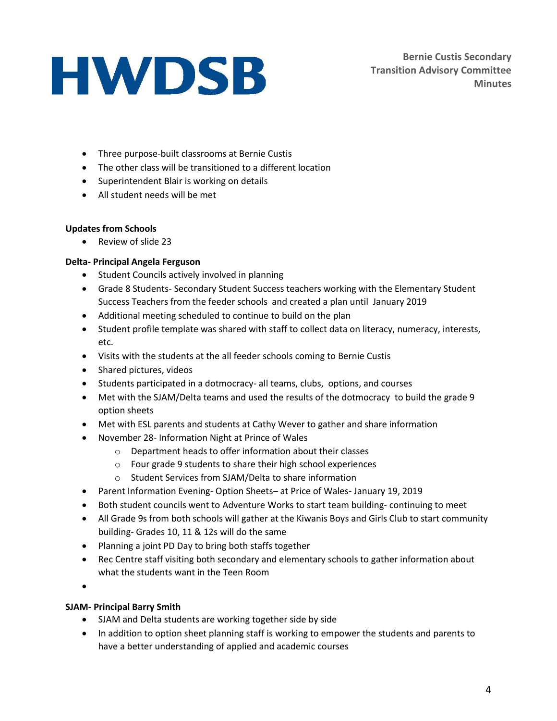**Bernie Custis Secondary Transition Advisory Committee Minutes**

- Three purpose-built classrooms at Bernie Custis
- The other class will be transitioned to a different location
- Superintendent Blair is working on details
- All student needs will be met

## **Updates from Schools**

• Review of slide 23

## **Delta- Principal Angela Ferguson**

- Student Councils actively involved in planning
- Grade 8 Students- Secondary Student Success teachers working with the Elementary Student Success Teachers from the feeder schools and created a plan until January 2019
- Additional meeting scheduled to continue to build on the plan
- Student profile template was shared with staff to collect data on literacy, numeracy, interests, etc.
- Visits with the students at the all feeder schools coming to Bernie Custis
- Shared pictures, videos
- Students participated in a dotmocracy- all teams, clubs, options, and courses
- Met with the SJAM/Delta teams and used the results of the dotmocracy to build the grade 9 option sheets
- Met with ESL parents and students at Cathy Wever to gather and share information
- November 28- Information Night at Prince of Wales
	- o Department heads to offer information about their classes
	- o Four grade 9 students to share their high school experiences
	- o Student Services from SJAM/Delta to share information
- Parent Information Evening- Option Sheets– at Price of Wales- January 19, 2019
- Both student councils went to Adventure Works to start team building- continuing to meet
- All Grade 9s from both schools will gather at the Kiwanis Boys and Girls Club to start community building- Grades 10, 11 & 12s will do the same
- Planning a joint PD Day to bring both staffs together
- Rec Centre staff visiting both secondary and elementary schools to gather information about what the students want in the Teen Room
- $\bullet$

## **SJAM- Principal Barry Smith**

- SJAM and Delta students are working together side by side
- In addition to option sheet planning staff is working to empower the students and parents to have a better understanding of applied and academic courses